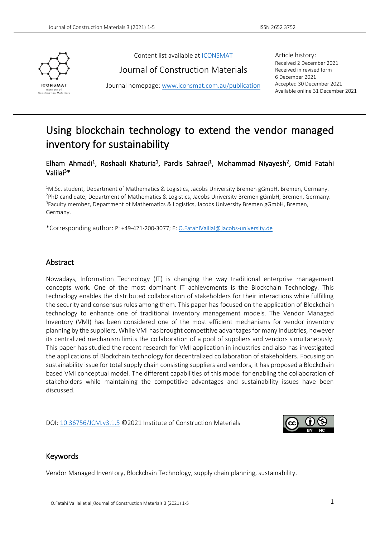

Content list available at [ICONSMAT](http://www.iconsmat.com.au/)

Journal of Construction Materials

Journal homepage[: www.iconsmat.com.au/publication](http://www.iconsmat.com.au/publication)

Article history: Received 2 December 2021 Received in revised form 6 December 2021 Accepted 30 December 2021 Available online 31 December 2021

# Using blockchain technology to extend the vendor managed inventory for sustainability

# Elham Ahmadi<sup>1</sup>, Roshaali Khaturia<sup>1</sup>, Pardis Sahraei<sup>1</sup>, Mohammad Niyayesh<sup>2</sup>, Omid Fatahi Valilai<sup>3</sup>\*

<sup>1</sup>M.Sc. student, Department of Mathematics & Logistics, Jacobs University Bremen gGmbH, Bremen, Germany. <sup>2</sup>PhD candidate, Department of Mathematics & Logistics, Jacobs University Bremen gGmbH, Bremen, Germany. <sup>3</sup>Faculty member, Department of Mathematics & Logistics, Jacobs University Bremen gGmbH, Bremen, Germany.

\*Corresponding author: P: +49-421-200-3077; E: [O.FatahiValilai@Jacobs-university.de](mailto:O.FatahiValilai@Jacobs-university.de)

# Abstract

Nowadays, Information Technology (IT) is changing the way traditional enterprise management concepts work. One of the most dominant IT achievements is the Blockchain Technology. This technology enables the distributed collaboration of stakeholders for their interactions while fulfilling the security and consensus rules among them. This paper has focused on the application of Blockchain technology to enhance one of traditional inventory management models. The Vendor Managed Inventory (VMI) has been considered one of the most efficient mechanisms for vendor inventory planning by the suppliers. While VMI has brought competitive advantages for many industries, however its centralized mechanism limits the collaboration of a pool of suppliers and vendors simultaneously. This paper has studied the recent research for VMI application in industries and also has investigated the applications of Blockchain technology for decentralized collaboration of stakeholders. Focusing on sustainability issue for total supply chain consisting suppliers and vendors, it has proposed a Blockchain based VMI conceptual model. The different capabilities of this model for enabling the collaboration of stakeholders while maintaining the competitive advantages and sustainability issues have been discussed.

DOI: [10.36756/JCM.v3.1.5](https://doi.org/10.36756/JCM.v3.1.5) ©2021 Institute of Construction Materials



### Keywords

Vendor Managed Inventory, Blockchain Technology, supply chain planning, sustainability.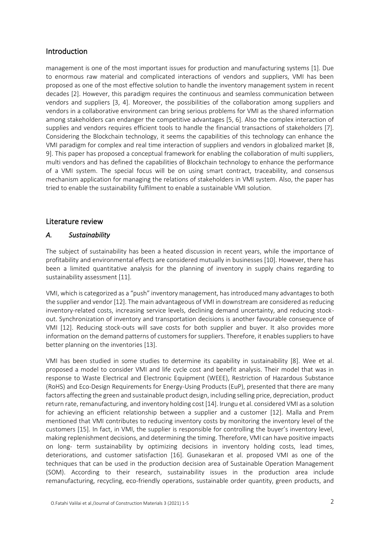# Introduction

management is one of the most important issues for production and manufacturing systems [1]. Due to enormous raw material and complicated interactions of vendors and suppliers, VMI has been proposed as one of the most effective solution to handle the inventory management system in recent decades [2]. However, this paradigm requires the continuous and seamless communication between vendors and suppliers [3, 4]. Moreover, the possibilities of the collaboration among suppliers and vendors in a collaborative environment can bring serious problems for VMI as the shared information among stakeholders can endanger the competitive advantages [5, 6]. Also the complex interaction of supplies and vendors requires efficient tools to handle the financial transactions of stakeholders [7]. Considering the Blockchain technology, it seems the capabilities of this technology can enhance the VMI paradigm for complex and real time interaction of suppliers and vendors in globalized market [8, 9]. This paper has proposed a conceptual framework for enabling the collaboration of multi suppliers, multi vendors and has defined the capabilities of Blockchain technology to enhance the performance of a VMI system. The special focus will be on using smart contract, traceability, and consensus mechanism application for managing the relations of stakeholders in VMI system. Also, the paper has tried to enable the sustainability fulfilment to enable a sustainable VMI solution.

# Literature review

# *A. Sustainability*

The subject of sustainability has been a heated discussion in recent years, while the importance of profitability and environmental effects are considered mutually in businesses [10]. However, there has been a limited quantitative analysis for the planning of inventory in supply chains regarding to sustainability assessment [11].

VMI, which is categorized as a "push" inventory management, has introduced many advantages to both the supplier and vendor [12]. The main advantageous of VMI in downstream are considered as reducing inventory-related costs, increasing service levels, declining demand uncertainty, and reducing stockout. Synchronization of inventory and transportation decisions is another favourable consequence of VMI [12]. Reducing stock-outs will save costs for both supplier and buyer. It also provides more information on the demand patterns of customers for suppliers. Therefore, it enables suppliers to have better planning on the inventories [13].

VMI has been studied in some studies to determine its capability in sustainability [8]. Wee et al. proposed a model to consider VMI and life cycle cost and benefit analysis. Their model that was in response to Waste Electrical and Electronic Equipment (WEEE), Restriction of Hazardous Substance (RoHS) and Eco-Design Requirements for Energy-Using Products (EuP), presented that there are many factors affecting the green and sustainable product design, including selling price, depreciation, product return rate, remanufacturing, and inventory holding cost [14]. Irungu et al. considered VMI as a solution for achieving an efficient relationship between a supplier and a customer [12]. Malla and Prem mentioned that VMI contributes to reducing inventory costs by monitoring the inventory level of the customers [15]. In fact, in VMI, the supplier is responsible for controlling the buyer's inventory level, making replenishment decisions, and determining the timing. Therefore, VMI can have positive impacts on long- term sustainability by optimizing decisions in inventory holding costs, lead times, deteriorations, and customer satisfaction [16]. Gunasekaran et al. proposed VMI as one of the techniques that can be used in the production decision area of Sustainable Operation Management (SOM). According to their research, sustainability issues in the production area include remanufacturing, recycling, eco-friendly operations, sustainable order quantity, green products, and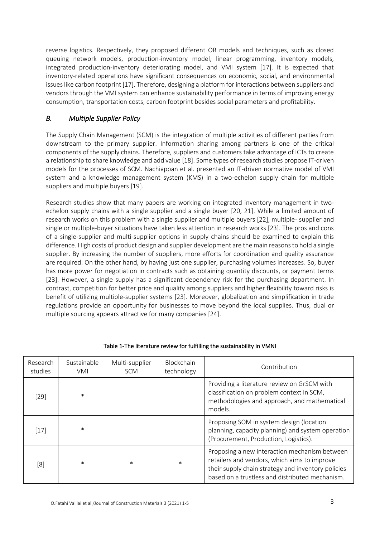reverse logistics. Respectively, they proposed different OR models and techniques, such as closed queuing network models, production-inventory model, linear programming, inventory models, integrated production-inventory deteriorating model, and VMI system [17]. It is expected that inventory-related operations have significant consequences on economic, social, and environmental issues like carbon footprint [17]. Therefore, designing a platform for interactions between suppliers and vendors through the VMI system can enhance sustainability performance in terms of improving energy consumption, transportation costs, carbon footprint besides social parameters and profitability.

# *B. Multiple Supplier Policy*

The Supply Chain Management (SCM) is the integration of multiple activities of different parties from downstream to the primary supplier. Information sharing among partners is one of the critical components of the supply chains. Therefore, suppliers and customers take advantage of ICTs to create a relationship to share knowledge and add value [18]. Some types of research studies propose IT-driven models for the processes of SCM. Nachiappan et al. presented an IT-driven normative model of VMI system and a knowledge management system (KMS) in a two-echelon supply chain for multiple suppliers and multiple buyers [19].

Research studies show that many papers are working on integrated inventory management in twoechelon supply chains with a single supplier and a single buyer [20, 21]. While a limited amount of research works on this problem with a single supplier and multiple buyers [22], multiple- supplier and single or multiple-buyer situations have taken less attention in research works [23]. The pros and cons of a single-supplier and multi-supplier options in supply chains should be examined to explain this difference. High costs of product design and supplier development are the main reasons to hold a single supplier. By increasing the number of suppliers, more efforts for coordination and quality assurance are required. On the other hand, by having just one supplier, purchasing volumes increases. So, buyer has more power for negotiation in contracts such as obtaining quantity discounts, or payment terms [23]. However, a single supply has a significant dependency risk for the purchasing department. In contrast, competition for better price and quality among suppliers and higher flexibility toward risks is benefit of utilizing multiple-supplier systems [23]. Moreover, globalization and simplification in trade regulations provide an opportunity for businesses to move beyond the local supplies. Thus, dual or multiple sourcing appears attractive for many companies [24].

| Research<br>studies | Sustainable<br>VMI | Multi-supplier<br><b>SCM</b> | <b>Blockchain</b><br>technology | Contribution                                                                                                                                                                                           |
|---------------------|--------------------|------------------------------|---------------------------------|--------------------------------------------------------------------------------------------------------------------------------------------------------------------------------------------------------|
| $[29]$              | $\ast$             |                              |                                 | Providing a literature review on GrSCM with<br>classification on problem context in SCM,<br>methodologies and approach, and mathematical<br>models.                                                    |
| $[17]$              | $\ast$             |                              |                                 | Proposing SOM in system design (location<br>planning, capacity planning) and system operation<br>(Procurement, Production, Logistics).                                                                 |
| [8]                 | $\ast$             | $\ast$                       | $\ast$                          | Proposing a new interaction mechanism between<br>retailers and vendors, which aims to improve<br>their supply chain strategy and inventory policies<br>based on a trustless and distributed mechanism. |

### Table 1-The literature review for fulfilling the sustainability in VMNI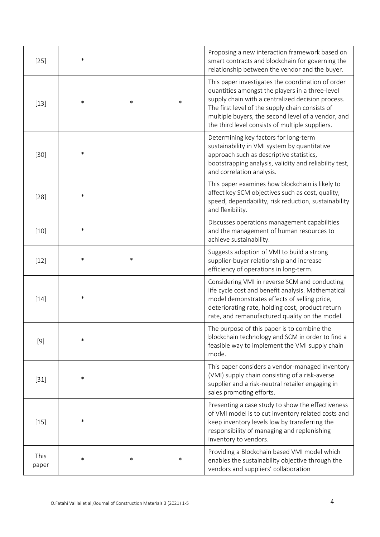| $[25]$        | $\ast$ |        |        | Proposing a new interaction framework based on<br>smart contracts and blockchain for governing the<br>relationship between the vendor and the buyer.                                                                                                                                                                  |
|---------------|--------|--------|--------|-----------------------------------------------------------------------------------------------------------------------------------------------------------------------------------------------------------------------------------------------------------------------------------------------------------------------|
| $[13]$        | $\ast$ | $\ast$ | $\ast$ | This paper investigates the coordination of order<br>quantities amongst the players in a three-level<br>supply chain with a centralized decision process.<br>The first level of the supply chain consists of<br>multiple buyers, the second level of a vendor, and<br>the third level consists of multiple suppliers. |
| $[30]$        | $\ast$ |        |        | Determining key factors for long-term<br>sustainability in VMI system by quantitative<br>approach such as descriptive statistics,<br>bootstrapping analysis, validity and reliability test,<br>and correlation analysis.                                                                                              |
| $[28]$        | $\ast$ |        |        | This paper examines how blockchain is likely to<br>affect key SCM objectives such as cost, quality,<br>speed, dependability, risk reduction, sustainability<br>and flexibility.                                                                                                                                       |
| $[10]$        | $\ast$ |        |        | Discusses operations management capabilities<br>and the management of human resources to<br>achieve sustainability.                                                                                                                                                                                                   |
| $[12]$        | $\ast$ | $\ast$ |        | Suggests adoption of VMI to build a strong<br>supplier-buyer relationship and increase<br>efficiency of operations in long-term.                                                                                                                                                                                      |
| $[14]$        | $\ast$ |        |        | Considering VMI in reverse SCM and conducting<br>life cycle cost and benefit analysis. Mathematical<br>model demonstrates effects of selling price,<br>deteriorating rate, holding cost, product return<br>rate, and remanufactured quality on the model.                                                             |
| $[9]$         |        |        |        | The purpose of this paper is to combine the<br>blockchain technology and SCM in order to find a<br>feasible way to implement the VMI supply chain<br>mode.                                                                                                                                                            |
| $[31]$        | $\ast$ |        |        | This paper considers a vendor-managed inventory<br>(VMI) supply chain consisting of a risk-averse<br>supplier and a risk-neutral retailer engaging in<br>sales promoting efforts.                                                                                                                                     |
| $[15]$        | $\ast$ |        |        | Presenting a case study to show the effectiveness<br>of VMI model is to cut inventory related costs and<br>keep inventory levels low by transferring the<br>responsibility of managing and replenishing<br>inventory to vendors.                                                                                      |
| This<br>paper | *      | $\ast$ | $\ast$ | Providing a Blockchain based VMI model which<br>enables the sustainability objective through the<br>vendors and suppliers' collaboration                                                                                                                                                                              |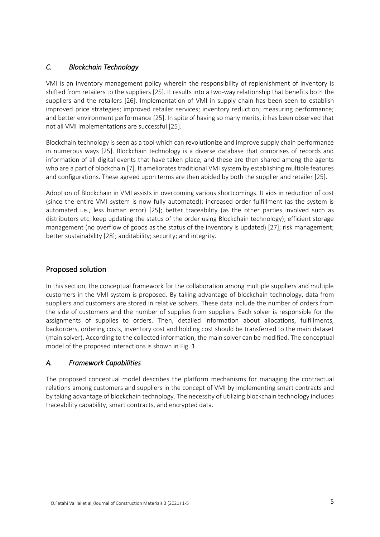# *C. Blockchain Technology*

VMI is an inventory management policy wherein the responsibility of replenishment of inventory is shifted from retailers to the suppliers [25]. It results into a two-way relationship that benefits both the suppliers and the retailers [26]. Implementation of VMI in supply chain has been seen to establish improved price strategies; improved retailer services; inventory reduction; measuring performance; and better environment performance [25]. In spite of having so many merits, it has been observed that not all VMI implementations are successful [25].

Blockchain technology is seen as a tool which can revolutionize and improve supply chain performance in numerous ways [25]. Blockchain technology is a diverse database that comprises of records and information of all digital events that have taken place, and these are then shared among the agents who are a part of blockchain [7]. It ameliorates traditional VMI system by establishing multiple features and configurations. These agreed upon terms are then abided by both the supplier and retailer [25].

Adoption of Blockchain in VMI assists in overcoming various shortcomings. It aids in reduction of cost (since the entire VMI system is now fully automated); increased order fulfillment (as the system is automated i.e., less human error) [25]; better traceability (as the other parties involved such as distributors etc. keep updating the status of the order using Blockchain technology); efficient storage management (no overflow of goods as the status of the inventory is updated) [27]; risk management; better sustainability [28]; auditability; security; and integrity.

# Proposed solution

In this section, the conceptual framework for the collaboration among multiple suppliers and multiple customers in the VMI system is proposed. By taking advantage of blockchain technology, data from suppliers and customers are stored in relative solvers. These data include the number of orders from the side of customers and the number of supplies from suppliers. Each solver is responsible for the assignments of supplies to orders. Then, detailed information about allocations, fulfillments, backorders, ordering costs, inventory cost and holding cost should be transferred to the main dataset (main solver). According to the collected information, the main solver can be modified. The conceptual model of the proposed interactions is shown in Fig. 1.

# *A. Framework Capabilities*

The proposed conceptual model describes the platform mechanisms for managing the contractual relations among customers and suppliers in the concept of VMI by implementing smart contracts and by taking advantage of blockchain technology. The necessity of utilizing blockchain technology includes traceability capability, smart contracts, and encrypted data.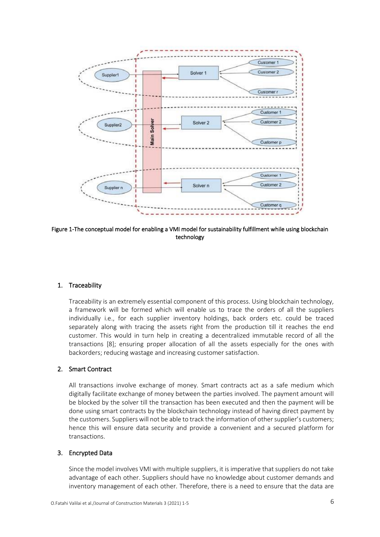

Figure 1-The conceptual model for enabling a VMI model for sustainability fulfillment while using blockchain technology

### 1. Traceability

Traceability is an extremely essential component of this process. Using blockchain technology, a framework will be formed which will enable us to trace the orders of all the suppliers individually i.e., for each supplier inventory holdings, back orders etc. could be traced separately along with tracing the assets right from the production till it reaches the end customer. This would in turn help in creating a decentralized immutable record of all the transactions [8]; ensuring proper allocation of all the assets especially for the ones with backorders; reducing wastage and increasing customer satisfaction.

### 2. Smart Contract

All transactions involve exchange of money. Smart contracts act as a safe medium which digitally facilitate exchange of money between the parties involved. The payment amount will be blocked by the solver till the transaction has been executed and then the payment will be done using smart contracts by the blockchain technology instead of having direct payment by the customers. Suppliers will not be able to track the information of other supplier's customers; hence this will ensure data security and provide a convenient and a secured platform for transactions.

#### 3. Encrypted Data

Since the model involves VMI with multiple suppliers, it is imperative that suppliers do not take advantage of each other. Suppliers should have no knowledge about customer demands and inventory management of each other. Therefore, there is a need to ensure that the data are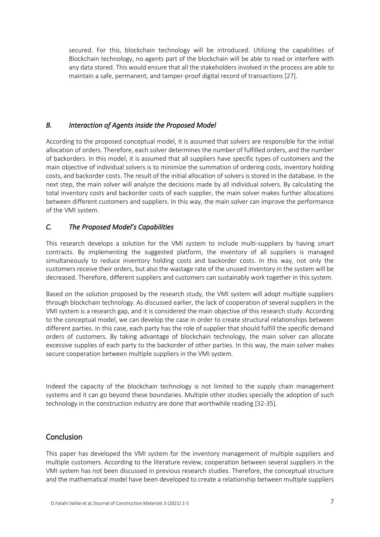secured. For this, blockchain technology will be introduced. Utilizing the capabilities of Blockchain technology, no agents part of the blockchain will be able to read or interfere with any data stored. This would ensure that all the stakeholders involved in the process are able to maintain a safe, permanent, and tamper-proof digital record of transactions [27].

# *B. Interaction of Agents inside the Proposed Model*

According to the proposed conceptual model, it is assumed that solvers are responsible for the initial allocation of orders. Therefore, each solver determines the number of fulfilled orders, and the number of backorders. In this model, it is assumed that all suppliers have specific types of customers and the main objective of individual solvers is to minimize the summation of ordering costs, inventory holding costs, and backorder costs. The result of the initial allocation of solvers is stored in the database. In the next step, the main solver will analyze the decisions made by all individual solvers. By calculating the total inventory costs and backorder costs of each supplier, the main solver makes further allocations between different customers and suppliers. In this way, the main solver can improve the performance of the VMI system.

# *C. The Proposed Model's Capabilities*

This research develops a solution for the VMI system to include multi-suppliers by having smart contracts. By implementing the suggested platform, the inventory of all suppliers is managed simultaneously to reduce inventory holding costs and backorder costs. In this way, not only the customers receive their orders, but also the wastage rate of the unused inventory in the system will be decreased. Therefore, different suppliers and customers can sustainably work together in this system.

Based on the solution proposed by the research study, the VMI system will adopt multiple suppliers through blockchain technology. As discussed earlier, the lack of cooperation of several suppliers in the VMI system is a research gap, and it is considered the main objective of this research study. According to the conceptual model, we can develop the case in order to create structural relationships between different parties. In this case, each party has the role of supplier that should fulfill the specific demand orders of customers. By taking advantage of blockchain technology, the main solver can allocate excessive supplies of each party to the backorder of other parties. In this way, the main solver makes secure cooperation between multiple suppliers in the VMI system.

Indeed the capacity of the blockchain technology is not limited to the supply chain management systems and it can go beyond these boundaries. Multiple other studies specially the adoption of such technology in the construction industry are done that worthwhile reading [32-35].

# Conclusion

This paper has developed the VMI system for the inventory management of multiple suppliers and multiple customers. According to the literature review, cooperation between several suppliers in the VMI system has not been discussed in previous research studies. Therefore, the conceptual structure and the mathematical model have been developed to create a relationship between multiple suppliers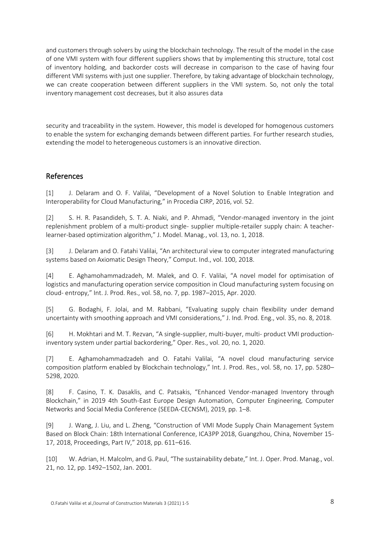and customers through solvers by using the blockchain technology. The result of the model in the case of one VMI system with four different suppliers shows that by implementing this structure, total cost of inventory holding, and backorder costs will decrease in comparison to the case of having four different VMI systems with just one supplier. Therefore, by taking advantage of blockchain technology, we can create cooperation between different suppliers in the VMI system. So, not only the total inventory management cost decreases, but it also assures data

security and traceability in the system. However, this model is developed for homogenous customers to enable the system for exchanging demands between different parties. For further research studies, extending the model to heterogeneous customers is an innovative direction.

# References

[1] J. Delaram and O. F. Valilai, "Development of a Novel Solution to Enable Integration and Interoperability for Cloud Manufacturing," in Procedia CIRP, 2016, vol. 52.

[2] S. H. R. Pasandideh, S. T. A. Niaki, and P. Ahmadi, "Vendor-managed inventory in the joint replenishment problem of a multi-product single- supplier multiple-retailer supply chain: A teacherlearner-based optimization algorithm," J. Model. Manag., vol. 13, no. 1, 2018.

[3] J. Delaram and O. Fatahi Valilai, "An architectural view to computer integrated manufacturing systems based on Axiomatic Design Theory," Comput. Ind., vol. 100, 2018.

[4] E. Aghamohammadzadeh, M. Malek, and O. F. Valilai, "A novel model for optimisation of logistics and manufacturing operation service composition in Cloud manufacturing system focusing on cloud- entropy," Int. J. Prod. Res., vol. 58, no. 7, pp. 1987–2015, Apr. 2020.

[5] G. Bodaghi, F. Jolai, and M. Rabbani, "Evaluating supply chain flexibility under demand uncertainty with smoothing approach and VMI considerations," J. Ind. Prod. Eng., vol. 35, no. 8, 2018.

[6] H. Mokhtari and M. T. Rezvan, "A single-supplier, multi-buyer, multi- product VMI productioninventory system under partial backordering," Oper. Res., vol. 20, no. 1, 2020.

[7] E. Aghamohammadzadeh and O. Fatahi Valilai, "A novel cloud manufacturing service composition platform enabled by Blockchain technology," Int. J. Prod. Res., vol. 58, no. 17, pp. 5280– 5298, 2020.

[8] F. Casino, T. K. Dasaklis, and C. Patsakis, "Enhanced Vendor-managed Inventory through Blockchain," in 2019 4th South-East Europe Design Automation, Computer Engineering, Computer Networks and Social Media Conference (SEEDA-CECNSM), 2019, pp. 1–8.

[9] J. Wang, J. Liu, and L. Zheng, "Construction of VMI Mode Supply Chain Management System Based on Block Chain: 18th International Conference, ICA3PP 2018, Guangzhou, China, November 15- 17, 2018, Proceedings, Part IV," 2018, pp. 611–616.

[10] W. Adrian, H. Malcolm, and G. Paul, "The sustainability debate," Int. J. Oper. Prod. Manag., vol. 21, no. 12, pp. 1492–1502, Jan. 2001.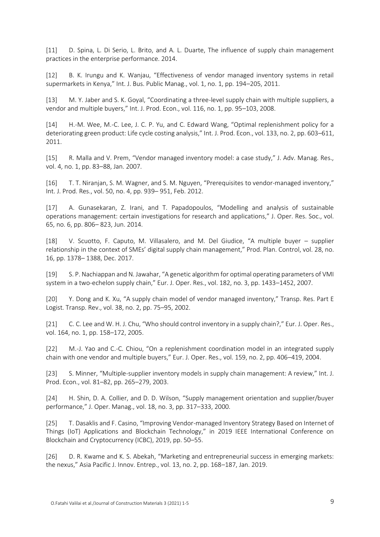[11] D. Spina, L. Di Serio, L. Brito, and A. L. Duarte, The influence of supply chain management practices in the enterprise performance. 2014.

[12] B. K. Irungu and K. Wanjau, "Effectiveness of vendor managed inventory systems in retail supermarkets in Kenya," Int. J. Bus. Public Manag., vol. 1, no. 1, pp. 194–205, 2011.

[13] M. Y. Jaber and S. K. Goyal, "Coordinating a three-level supply chain with multiple suppliers, a vendor and multiple buyers," Int. J. Prod. Econ., vol. 116, no. 1, pp. 95–103, 2008.

[14] H.-M. Wee, M.-C. Lee, J. C. P. Yu, and C. Edward Wang, "Optimal replenishment policy for a deteriorating green product: Life cycle costing analysis," Int. J. Prod. Econ., vol. 133, no. 2, pp. 603–611, 2011.

[15] R. Malla and V. Prem, "Vendor managed inventory model: a case study," J. Adv. Manag. Res., vol. 4, no. 1, pp. 83–88, Jan. 2007.

[16] T. T. Niranjan, S. M. Wagner, and S. M. Nguyen, "Prerequisites to vendor-managed inventory," Int. J. Prod. Res., vol. 50, no. 4, pp. 939– 951, Feb. 2012.

[17] A. Gunasekaran, Z. Irani, and T. Papadopoulos, "Modelling and analysis of sustainable operations management: certain investigations for research and applications," J. Oper. Res. Soc., vol. 65, no. 6, pp. 806– 823, Jun. 2014.

[18] V. Scuotto, F. Caputo, M. Villasalero, and M. Del Giudice, "A multiple buyer – supplier relationship in the context of SMEs' digital supply chain management," Prod. Plan. Control, vol. 28, no. 16, pp. 1378– 1388, Dec. 2017.

[19] S. P. Nachiappan and N. Jawahar, "A genetic algorithm for optimal operating parameters of VMI system in a two-echelon supply chain," Eur. J. Oper. Res., vol. 182, no. 3, pp. 1433–1452, 2007.

[20] Y. Dong and K. Xu, "A supply chain model of vendor managed inventory," Transp. Res. Part E Logist. Transp. Rev., vol. 38, no. 2, pp. 75–95, 2002.

[21] C. C. Lee and W. H. J. Chu, "Who should control inventory in a supply chain?," Eur. J. Oper. Res., vol. 164, no. 1, pp. 158–172, 2005.

[22] M.-J. Yao and C.-C. Chiou, "On a replenishment coordination model in an integrated supply chain with one vendor and multiple buyers," Eur. J. Oper. Res., vol. 159, no. 2, pp. 406–419, 2004.

[23] S. Minner, "Multiple-supplier inventory models in supply chain management: A review," Int. J. Prod. Econ., vol. 81–82, pp. 265–279, 2003.

[24] H. Shin, D. A. Collier, and D. D. Wilson, "Supply management orientation and supplier/buyer performance," J. Oper. Manag., vol. 18, no. 3, pp. 317–333, 2000.

[25] T. Dasaklis and F. Casino, "Improving Vendor-managed Inventory Strategy Based on Internet of Things (IoT) Applications and Blockchain Technology," in 2019 IEEE International Conference on Blockchain and Cryptocurrency (ICBC), 2019, pp. 50–55.

[26] D. R. Kwame and K. S. Abekah, "Marketing and entrepreneurial success in emerging markets: the nexus," Asia Pacific J. Innov. Entrep., vol. 13, no. 2, pp. 168–187, Jan. 2019.